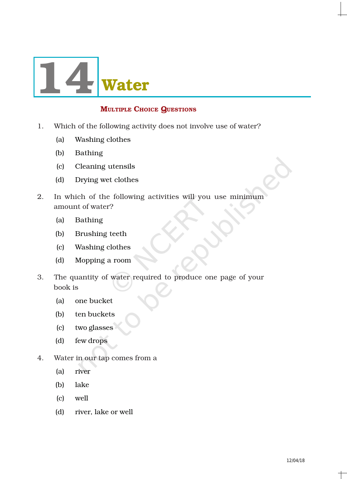

# **MULTIPLE CHOICE QUESTIONS**

- 1. Which of the following activity does not involve use of water?
	- (a) Washing clothes
	- (b) Bathing
	- (c) Cleaning utensils
	- (d) Drying wet clothes
- 2. In which of the following activities will you use minimum amount of water?
	- (a) Bathing
	- (b) Brushing teeth
	- (c) Washing clothes
	- (d) Mopping a room
- 3. The quantity of water required to produce one page of your book is
	- (a) one bucket
	- (b) ten buckets
	- (c) two glasses
	- (d) few drops
- 4. Water in our tap comes from a
	- (a) river
	- (b) lake
	- (c) well
	- (d) river, lake or well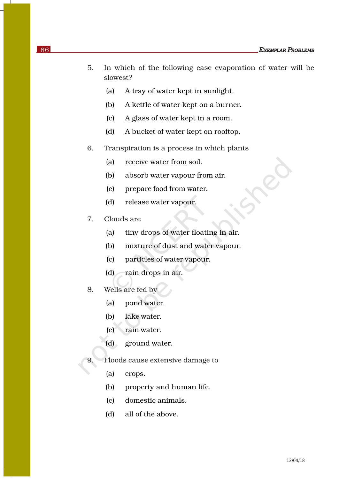- 5. In which of the following case evaporation of water will be slowest?
	- (a) A tray of water kept in sunlight.
	- (b) A kettle of water kept on a burner.
	- (c) A glass of water kept in a room.
	- (d) A bucket of water kept on rooftop.
- 6. Transpiration is a process in which plants
	- (a) receive water from soil.
	- (b) absorb water vapour from air.
	- (c) prepare food from water.
	- (d) release water vapour.
- 7. Clouds are
	- (a) tiny drops of water floating in air.
	- (b) mixture of dust and water vapour.
	- (c) particles of water vapour.
	- (d) rain drops in air.
- 8. Wells are fed by
	- (a) pond water.
	- (b) lake water.
	- (c) rain water.
	- (d) ground water.
- 9. Floods cause extensive damage to
	- (a) crops.
	- (b) property and human life.
	- (c) domestic animals.
	- (d) all of the above.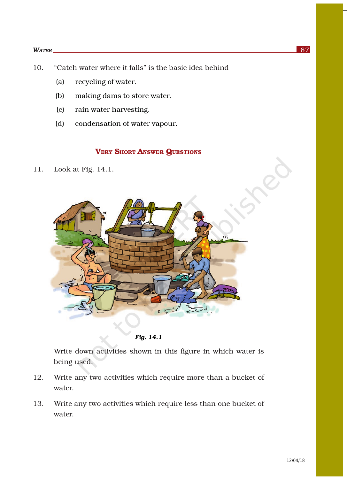#### *WATER* 87

- 10. "Catch water where it falls" is the basic idea behind
	- (a) recycling of water.
	- (b) making dams to store water.
	- (c) rain water harvesting.
	- (d) condensation of water vapour.

## VERY SHORT ANSWER QUESTIONS

11. Look at Fig. 14.1.



*Fig. 14.1* 

Write down activities shown in this figure in which water is being used.

- 12. Write any two activities which require more than a bucket of water.
- 13. Write any two activities which require less than one bucket of water.